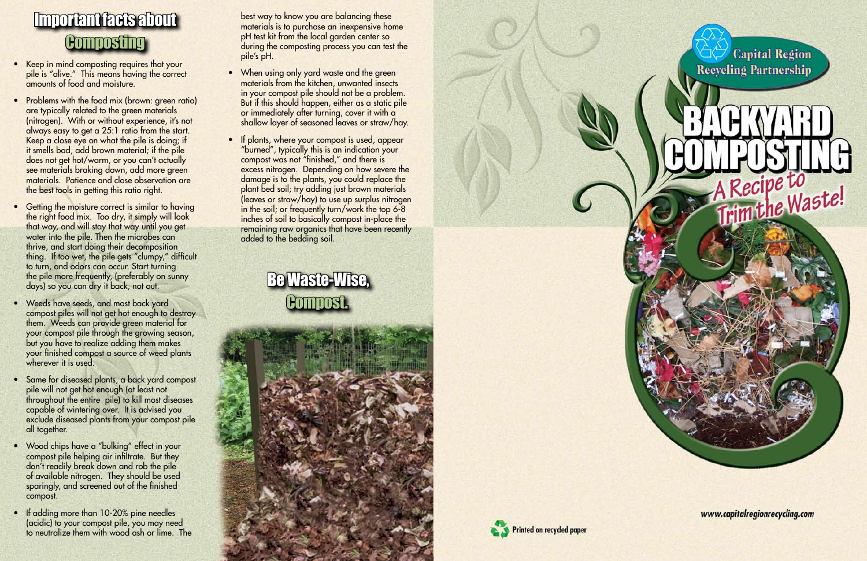### Be Waste-Wise, Compost.







A Recipe to<br>Trim the Waste!

www.capitalregionrecycling.com

## Important facts about **Composting**

- Keep in mind composting requires that your pile is "alive." This means having the correct amounts of food and moisture.
- Problems with the food mix (brown: green ratio) are typically related to the green materials (nitrogen). With or without experience, it's not always easy to get a 25:1 ratio from the start. Keep a close eye on what the pile is doing; if it smells bad, add brown material; if the pile does not get hot/warm, or you can't actually see materials braking down, add more green materials. Patience and close observation are the best tools in getting this ratio right.
- Getting the moisture correct is similar to having the right food mix. Too dry, it simply will look that way, and will stay that way until you get water into the pile. Then the microbes can thrive, and start doing their decomposition thing. If too wet, the pile gets "clumpy," difficult to turn, and odors can occur. Start turning the pile more frequently, (preferably on sunny days) so you can dry it back, not out.
- Weeds have seeds, and most back yard compost piles will not get hot enough to destroy them. Weeds can provide green material for your compost pile through the growing season, but you have to realize adding them makes your finished compost a source of weed plants wherever it is used.
- Same for diseased plants, a back yard compost pile will not get hot enough (at least not throughout the entire pile) to kill most diseases capable of wintering over. It is advised you exclude diseased plants from your compost pile all together.
- Wood chips have a "bulking" effect in your compost pile helping air infiltrate. But they don't readily break down and rob the pile of available nitrogen. They should be used sparingly, and screened out of the finished compost.
- If adding more than 10-20% pine needles (acidic) to your compost pile, you may need to neutralize them with wood ash or lime. The
- When using only yard waste and the green materials from the kitchen, unwanted insects in your compost pile should not be a problem. But if this should happen, either as a static pile or immediately after turning, cover it with a shallow layer of seasoned leaves or straw/hay.
- If plants, where your compost is used, appear "burned", typically this is an indication your compost was not "finished," and there is excess nitrogen. Depending on how severe the damage is to the plants, you could replace the plant bed soil; try adding just brown materials (leaves or straw/hay) to use up surplus nitrogen in the soil; or frequently turn/work the top 6-8 inches of soil to basically compost in-place the remaining raw organics that have been recently added to the bedding soil.

best way to know you are balancing these materials is to purchase an inexpensive home pH test kit from the local garden center so during the composting process you can test the pile's pH.